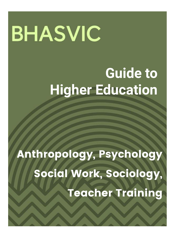# **BHASVIC**

# **Guide to Higher Education**

Anthropology, Psychology Social Work, Sociology, Teacher Training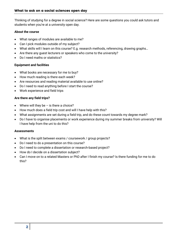Thinking of studying for a degree in social science? Here are some questions you could ask tutors and students when you're at a university open day.

#### **About the course**

- What ranges of modules are available to me?
- Can I pick modules outside of my subject?
- What skills will I learn on this course? E.g. research methods, referencing, drawing graphs…
- Are there any guest lecturers or speakers who come to the university?
- Do I need maths or statistics?

#### **Equipment and facilities**

- What books are necessary for me to buy?
- How much reading is there each week?
- Are resources and reading material available to use online?
- Do I need to read anything before I start the course?
- Work experience and field trips

#### **Are there any field trips?**

- Where will they be  $-$  is there a choice?
- How much does a field trip cost and will I have help with this?
- What assignments are set during a field trip, and do these count towards my degree mark?
- Do I have to organise placements or work experience during my summer breaks from university? Will I have help from the uni to do this?

#### **Assessments**

- What is the split between exams / coursework / group projects?
- Do I need to do a presentation on this course?
- Do I need to complete a dissertation or research-based project?
- How do I decide on a dissertation subject?
- Can I move on to a related Masters or PhD after I finish my course? Is there funding for me to do this?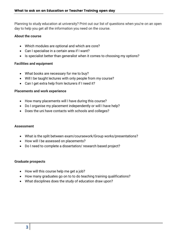Planning to study education at university? Print out our list of questions when you're on an open day to help you get all the information you need on the course.

#### **About the course**

- Which modules are optional and which are core?
- Can I specialise in a certain area if I want?
- Is specialist better than generalist when it comes to choosing my options?

# **Facilities and equipment**

- What books are necessary for me to buy?
- Will I be taught lectures with only people from my course?
- Can I get extra help from lecturers if I need it?

#### **Placements and work experience**

- How many placements will I have during this course?
- Do I organise my placement independently or will I have help?
- Does the uni have contacts with schools and colleges?

#### **Assessment**

- What is the split between exam/coursework/Group works/presentations?
- How will I be assessed on placements?
- Do I need to complete a dissertation/ research based project?

#### **Graduate prospects**

- How will this course help me get a job?
- How many graduates go on to to do teaching training qualifications?
- What disciplines does the study of education draw upon?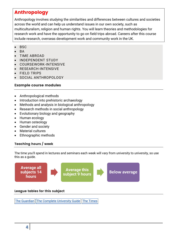# Anthropology

Anthropology involves studying the similarities and differences between cultures and societies across the world and can help us understand issues in our own society, such as multiculturalism, religion and human rights. You will learn theories and methodologies for research work and have the opportunity to go on field trips abroad. Careers after this course include research, overseas development work and community work in the UK.

- **BSC**
- BA
- TIME ABROAD
- INDEPENDENT STUDY
- COURSEWORK-INTENSIVE
- RESEARCH-INTENSIVE
- FIELD TRIPS
- SOCIAL ANTHROPOLOGY

# Example course modules

- Anthropological methods
- Introduction into prehistoric archaeology
- Methods and analysis in biological anthropology
- Research methods in social anthropology
- Evolutionary biology and geography
- Human ecology
- Human osteology
- Gender and society
- Material cultures
- Ethnographic methods

# Teaching hours / week

The time you'll spend in lectures and seminars each week will vary from university to university, so use this as a guide.



# League tables for this subject

The [Guardian](https://www.theguardian.com/education/ng-interactive/2017/may/16/university-league-tables-2018) The Complete [University](http://www.thecompleteuniversityguide.co.uk/league-tables/rankings?s=Architecture) Guide The [Times](https://www.thetimes.co.uk/article/top-by-subject-mgbnm672r)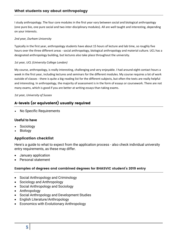I study anthropology. The four core modules in the first year vary between social and biological anthropology (one pure bio, one pure social and two inter-disciplinary modules). All are well taught and interesting, depending on your interests.

#### *2nd year, Durham University*

Typically in the first year, anthropology students have about 15 hours of lecture and lab time, so roughly five hours over the three different areas - social anthropology, biological anthropology and material culture. UCL has a designated anthropology building, but lectures also take place throughout the university.

#### *1st year, UCL (University College London)*

My course, anthropology, is really interesting, challenging and very enjoyable. I had around eight contact hours a week in the first year, including lectures and seminars for the different modules. My course requires a lot of work outside of classes - there is quite a big reading list for the different subjects, but often the texts are really helpful and interesting. In anthropology, the majority of assessment is in the form of essays or coursework. There are not many exams, which is good if you are better at writing essays than taking exams.

#### *1st year, University of Sussex*

# A-levels (or equivalent) usually required

No Specific Requirements

#### **Useful to have**

- **Sociology**
- Biology

# Application checklist

Here's a guide to what to expect from the application process - also check individual university entry requirements, as these may differ.

- January application
- Personal statement

#### Examples of degrees and combined degrees for BHASVIC student's 2019 entry

- Social Anthropology and Criminology
- Sociology and Anthropology
- Social Anthropology and Sociology
- Anthropology
- Social Anthropology and Development Studies
- English Literature/Anthropology
- Economics with Evolutionary Anthropology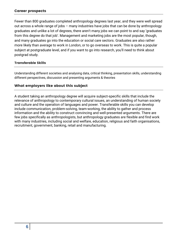#### Career prospects

Fewer than 800 graduates completed anthropology degrees last year, and they were well spread out across a whole range of jobs – many industries have jobs that can be done by anthropology graduates and unlike a lot of degrees, there aren't many jobs we can point to and say 'graduates from this degree do that job'. Management and marketing jobs are the most popular, though, and many graduates go into the education or social care sectors. Graduates are also rather more likely than average to work in London, or to go overseas to work. This is quite a popular subject at postgraduate level, and if you want to go into research, you'll need to think about postgrad study.

#### Transferable Skills

Understanding different societies and analysing data, critical thinking, presentation skills, understanding different perspectives, discussion and presenting arguments & theories

#### What employers like about this subject

A student taking an anthropology degree will acquire subject-specific skills that include the relevance of anthropology to contemporary cultural issues, an understanding of human society and culture and the operation of languages and power. Transferable skills you can develop include communication, problem-solving, team-working, the ability to gather and process information and the ability to construct convincing and well-presented arguments. There are few jobs specifically as anthropologists, but anthropology graduates are flexible and find work with many industries, including social and welfare, education, religious and faith organisations, recruitment, government, banking, retail and manufacturing.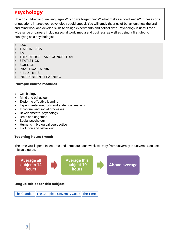# Psychology

How do children acquire language? Why do we forget things? What makes a good leader? If these sorts of questions interest you, psychology could appeal. You will study theories of behaviour, how the brain and mind work and develop skills to design experiments and collect data. Psychology is useful for a wide range of careers including social work, media and business, as well as being a first step to qualifying as a psychologist.

- **BSC**
- TIME IN LABS
- **BA**
- THEORETICAL AND CONCEPTUAL
- **STATISTICS**
- **SCIENCE**
- PRACTICAL WORK
- FIELD TRIPS
- INDEPENDENT LEARNING

#### Example course modules

- Cell biology
- Mind and behaviour
- Exploring effective learning
- Experimental methods and statistical analysis
- Individual and social processes
- Developmental psychology
- Brain and cognition
- Social psychology
- Humans in biological perspective
- Evolution and behaviour

# Teaching hours / week

The time you'll spend in lectures and seminars each week will vary from university to university, so use this as a guide.



#### League tables for this subject

The [Guardian](https://www.theguardian.com/education/ng-interactive/2017/may/16/university-league-tables-2018) | The Complete [University](http://www.thecompleteuniversityguide.co.uk/league-tables/rankings?s=Architecture) Guide | The [Times](https://www.thetimes.co.uk/article/top-by-subject-mgbnm672r)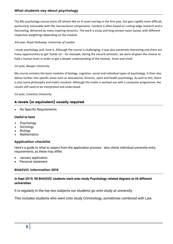The BSc psychology course starts off almost like an A-Level overlap in the first year, but gets rapidly more difficult, particularly noticeable with the neuroscience components. Content is often based on cutting-edge research and is fascinating, delivered by many inspiring lecturers. The work is essay and long-answer exam based, with different respective weightings depending on the module.

#### *3rd year, Royal Holloway, University of London*

I study psychology and I love it. Although the course is challenging, it was also extremely interesting and there are many opportunities to get 'hands on' - for example, during the second semester, we were all given the chance to hold a human brain in order to get a deeper understanding of the module, 'brain and mind'.

#### *1st year, Bangor University*

My course contains the basic modules of biology, cognition, social and individual types of psychology. It then also delves further into specific areas such as educational, forensic, sport and health psychology. As well as this, there is also some philosophy and maths involved. Although the maths is worked out with a computer programme, the results still need to be interpreted and understood.

#### *1st year, Coventry University*

#### A-levels (or equivalent) usually required

No Specific Requirements

#### **Useful to have**

- Psychology
- Sociology
- Biology
- **Mathematics**

#### Application checklist

Here's a guide to what to expect from the application process - also check individual university entry requirements, as these may differ.

- January application
- Personal statement

#### BHASVIC information 2019

#### **In Sept 2019, 98 BHASVIC students went onto study Psychology-related degrees at 44 different universities**

It is regularly in the top two subjects our students go onto study at university.

This includes students who went onto study Criminology, sometimes combined with Law.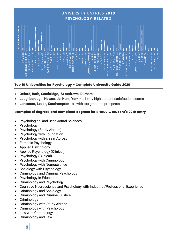

#### Top 10 Universities for Psychology - Complete University Guide 2020

- **Oxford, Bath, Cambridge, St Andrews, Durham**
- **Loughborough, Newcastle, Kent, York**  all very high student satisfaction scores
- **Lancaster, Leeds, Southampton**  all with top graduate prospects

#### Examples of degrees and combined degrees for BHASVIC student's 2019 entry

- Psychological and Behavioural Sciences
- Psychology
- Psychology (Study Abroad)
- Psychology with Foundation
- Psychology with a Year Abroad
- Forensic Psychology
- Applied Psychology
- Applied Psychology (Clinical)
- Psychology (Clinical)
- Psychology with Criminology
- Psychology with Neuroscience
- Sociology with Psychology
- Criminology and Criminal Psychology
- Psychology in Education
- Criminology and Psychology
- Cognitive Neuroscience and Psychology with Industrial/Professional Experience
- Criminology and Sociology
- Criminology and Criminal Justice
- Criminology
- Criminology with Study Abroad
- Criminology with Psychology
- Law with Criminology
- Criminology and Law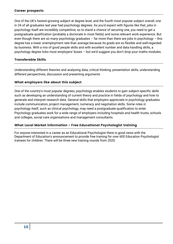One of the UK's fastest-growing subject at degree level, and the fourth most popular subject overall, one in 24 of all graduates last year had psychology degrees. As you'd expect with figures like that, jobs in psychology itself are incredibly competitive, so to stand a chance of securing one, you need to get a postgraduate qualification (probably a doctorate in most fields) and some relevant work experience. But even though there are so many psychology graduates  $-$  far more than there are jobs in psychology  $-$  this degree has a lower unemployment rate than average because its grads are so flexible and well-regarded by business. With a mix of good people skills and with excellent number and data handling skills, a psychology degree ticks most employers' boxes – but we'd suggest you don't drop your maths modules.

#### Transferable Skills

Understanding different theories and analysing data, critical thinking, presentation skills, understanding different perspectives, discussion and presenting arguments

#### What employers like about this subject

One of the country's most popular degrees, psychology enables students to gain subject-specific skills such as developing an understanding of current theory and practice in fields of psychology and how to generate and interpret research data. General skills that employers appreciate in psychology graduates include communication, project management, numeracy and negotiation skills. Some roles in psychology itself, such as clinical psychology, may need a postgraduate qualification to enter. Psychology graduates work for a wide range of employers including hospitals and health trusts, schools and colleges, social care organisations and management consultants.

#### What Local Market information - Free Educational Psychologist training

For anyone interested in a career as an Educational Psychologist there is good news with the Department of Education's announcement to provide free training for over 600 Education Psychologist trainees for children. There will be three new training rounds from 2020.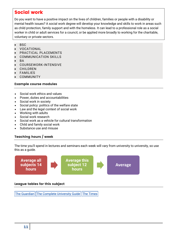# Social work

Do you want to have a positive impact on the lives of children, families or people with a disability or mental health issues? A social work degree will develop your knowledge and skills to work in areas such as child protection, family support and with the homeless. It can lead to a professional role as a social worker in child or adult services for a council, or be applied more broadly to working for the charitable, voluntary or private sectors.

- **BSC**
- VOCATIONAL
- PRACTICAL PLACEMENTS
- COMMUNICATION SKILLS
- BA
- COURSEWORK-INTENSIVE
- **CHILDREN**
- FAMILIES
- COMMUNITY

#### Example course modules

- Social work ethics and values
- Power, duties and accountabilities
- Social work in society
- Social policy: politics of the welfare state
- Law and the legal context of social work
- Working with adults
- Social work research
- Social work as a vehicle for cultural transformation
- Child and family social work
- Substance use and misuse

#### Teaching hours / week

The time you'll spend in lectures and seminars each week will vary from university to university, so use this as a guide.



#### League tables for this subject

The [Guardian](https://www.theguardian.com/education/ng-interactive/2017/may/16/university-league-tables-2018) The Complete [University](http://www.thecompleteuniversityguide.co.uk/league-tables/rankings?s=Architecture) Guide The [Times](https://www.thetimes.co.uk/article/top-by-subject-mgbnm672r)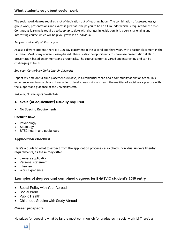The social work degree requires a lot of dedication out of teaching hours. The combination of assessed essays, group work, presentations and exams is great as it helps you to be an all-rounder which is required for the role. Continuous learning is required to keep up to date with changes in legislation. It is a very challenging and interesting course which will help you grow as an individual.

#### *1st year, University of Strathclyde*

As a social work student, there is a 100 day placement in the second and third year, with a taster placement in the first year. Most of my course is essay-based. There is also the opportunity to showcase presentation skills in presentation-based assignments and group tasks. The course content is varied and interesting and can be challenging at times.

#### *2nd year, Canterbury Christ Church University*

I spent my time on full time placement (80 days) in a residential rehab and a community addiction team. This experience was invaluable and I was able to develop new skills and learn the realities of social work practice with the support and guidance of the university staff.

#### *3rd year, University of Strathclyde*

#### A-levels (or equivalent) usually required

No Specific Requirements

#### **Useful to have**

- Psychology
- Sociology
- BTEC health and social care

#### Application checklist

Here's a guide to what to expect from the application process - also check individual university entry requirements, as these may differ.

- January application
- Personal statement
- Interview
- Work Experience

#### Examples of degrees and combined degrees for BHASVIC student's 2019 entry

- Social Policy with Year Abroad
- Social Work
- Public Health
- Childhood Studies with Study Abroad

#### Career prospects

No prizes for guessing what by far the most common job for graduates in social work is! There's a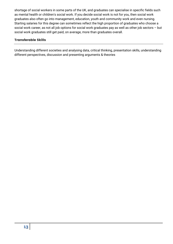shortage of social workers in some parts of the UK, and graduates can specialise in specific fields such as mental health or children's social work. If you decide social work is not for you, then social work graduates also often go into management, education, youth and community work and even nursing. Starting salaries for this degree can sometimes reflect the high proportion of graduates who choose a social work career, as not all job options for social work graduates pay as well as other job sectors – but social work graduates still get paid, on average, more than graduates overall.

#### Transferable Skills

Understanding different societies and analysing data, critical thinking, presentation skills, understanding different perspectives, discussion and presenting arguments & theories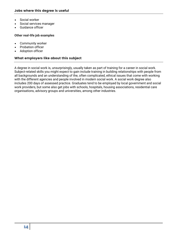- Social worker
- Social services manager
- Guidance officer

#### **Other real-life job examples**

- Community worker
- Probation officer
- Adoption officer

#### What employers like about this subject

A degree in social work is, unsurprisingly, usually taken as part of training for a career in social work. Subject-related skills you might expect to gain include training in building relationships with people from all backgrounds and an understanding of the, often complicated, ethical issues that come with working with the different agencies and people involved in modern social work. A social work degree also includes 200 days of assessed practice. Graduates tend to be employed by local government and social work providers, but some also get jobs with schools, hospitals, housing associations, residential care organisations, advisory groups and universities, among other industries.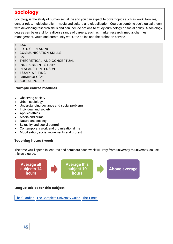# Sociology

Sociology is the study of human social life and you can expect to cover topics such as work, families, gender roles, multiculturalism, media and culture and globalisation. Courses combine sociological theory with developing research skills and can include options to study criminology or social policy. A sociology degree can be useful for a diverse range of careers, such as market research, media, charities, management, youth and community work, the police and the probation service.

- BSC
- LOTS OF READING
- COMMUNICATION SKILLS
- BA
- THEORETICAL AND CONCEPTUAL
- INDEPENDENT STUDY
- RESEARCH-INTENSIVE
- ESSAY-WRITING
- CRIMINOLOGY
- SOCIAL POLICY

#### Example course modules

- Observing society
- Urban sociology
- Understanding deviance and social problems
- Individual and society
- Applied ethics
- Media and crime
- Nature and society
- Sexuality and social control
- Contemporary work and organisational life
- Mobilisation, social movements and protest

# Teaching hours / week

The time you'll spend in lectures and seminars each week will vary from university to university, so use this as a guide.



#### League tables for this subject

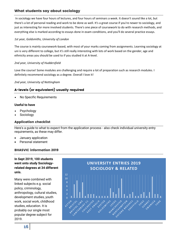# What students say about sociology

In sociology we have four hours of lectures, and four hours of seminars a week. It doesn't sound like a lot, but there's a lot of personal reading and work to be done as well. It's a great course if you're newer to sociology, and just as interesting for more involved students. There's one piece of coursework to do with research methods, and everything else is marked according to essays done in exam conditions, and you'll do several practice essays.

#### *1st year, Goldsmiths, University of London*

The course is mainly coursework-based, with most of your marks coming from assignments. Learning sociology at uni is very different to college, but it's still really interesting with lots of work based on the gender, age and ethnicity areas you should be used to if you studied it at A-level.

#### *2nd year, University of Huddersfield*

Love the course! Some modules are challenging and require a lot of preparation such as research modules. I definitely recommend sociology as a degree. Overall I love it!

*2nd year, University of Nottingham*

# A-levels (or equivalent) usually required

No Specific Requirements

#### **Useful to have**

- Psychology
- Sociology

#### Application checklist

Here's a guide to what to expect from the application process - also check individual university entry requirements, as these may differ.

- January application
- Personal statement

#### BHASVIC information 2019

**In Sept 2019, 100 students went onto study Sociologyrelated degrees at 34 different unis.**

Many were combined with linked subjects e.g. social policy, criminology, anthropology, cultural studies, development studies, youth work, social work, childhood studies, education. It is probably our single most popular degree subject for 2019.

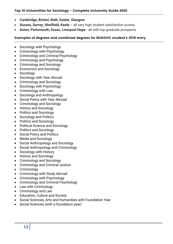- **Cambridge, Bristol, Bath, Exeter, Glasgow**
- **Sussex, Surrey, Sheffield, Keele**  all very high student satisfaction scores
- **Aston, Portsmouth, Essex, Liverpool Hope**  all with top graduate prospects

#### Examples of degrees and combined degrees for BHASVIC student's 2019 entry

- Sociology with Psychology
- Criminology with Psychology
- Criminology and Criminal Psychology
- Criminology and Psychology
- Criminology and Sociology
- Economics and Sociology
- Sociology
- Sociology with Year Abroad
- Criminology and Sociology
- Sociology with Psychology
- Criminology with Law
- Sociology and Anthropology
- Social Policy with Year Abroad
- Criminology and Sociology
- History and Sociology
- Politics and Sociology
- Sociology and Politics
- Politics and Sociology
- Political Science and Sociology
- Politics and Sociology
- Social Policy and Politics
- Media and Sociology
- Social Anthropology and Sociology
- Social Anthropology and Criminology
- Sociology with History
- History and Sociology
- Criminology and Sociology
- Criminology and Criminal Justice
- Criminology
- Criminology with Study Abroad
- Criminology with Psychology
- Criminology and Criminal Psychology
- Law with Criminology
- Criminology and Law
- Education, Culture and Society
- Social Sciences, Arts and Humanities with Foundation Year
- Social Sciences (with a foundation year)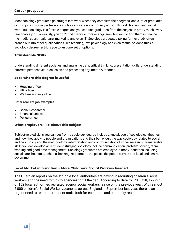Most sociology graduates go straight into work when they complete their degrees, and a lot of graduates go into jobs in social professions such as education, community and youth work, housing and social work. But sociology is a flexible degree and you can find graduates from the subject in pretty much every reasonable job – obviously, you don't find many doctors or engineers, but you do find them in finance, the media, sport, healthcare, marketing and even IT. Sociology graduates taking further study often branch out into other qualifications, like teaching, law, psychology and even maths, so don't think a sociology degree restricts you to just one set of options.

#### Transferable Skills

Understanding different societies and analysing data, critical thinking, presentation skills, understanding different perspectives, discussion and presenting arguments & theories

#### Jobs where this degree is useful

- Housing officer
- HR officer
- Welfare advisory offier

#### **Other real-life job examples**

- Social Researcher
- Financial analyst
- Police officer

#### What employers like about this subject

Subject-related skills you can get from a sociology degree include a knowledge of sociological theories and how they apply to people and organisations and their behaviour; the way sociology relates to social and civic policy and the methodology, interpretation and communication of social research. Transferable skills you can develop as a student studying sociology include communication, problem-solving, teamworking and good time management. Sociology graduates are employed in many industries including social care, hospitals, schools, banking, recruitment, the police, the prison service and local and central government.

#### Local Market information - More Children's Social Workers Needed

The Guardian reports on the struggle local authorities are having in recruiting children's social workers and the need to turn to agencies to fill the gap. According to data for 2017/18, 129 out of 152 local authorities recruited agency social workers, a rise on the previous year. With almost 6,000 children's Social Worker vacancies across England in September last year, there is an urgent need to recruit permanent staff, both for economic and continuity reasons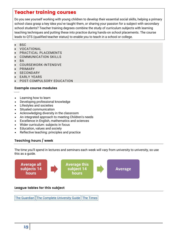# Teacher training courses

Do you see yourself working with young children to develop their essential social skills, helping a primary school class grasp a key idea you've taught them, or sharing your passion for a subject with secondary school students? Teacher training degrees combine the study of curriculum subjects with learning teaching techniques and putting these into practice during hands-on school placements. The course leads to QTS (qualified teacher status) to enable you to teach in a school or college.

- **BSC**
- VOCATIONAL
- PRACTICAL PLACEMENTS
- COMMUNICATION SKILLS
- BA
- COURSEWORK-INTENSIVE
- PRIMARY
- **SECONDARY**
- EARLY YEARS
- POST-COMPULSORY EDUCATION

#### Example course modules

- Learning how to learn
- Developing professional knowledge
- Lifestyles and societies
- Situated communication
- Acknowledging diversity in the classroom
- An integrated approach to meeting Children's needs
- Excellence in English, mathematics and sciences
- Wider curriculum: subjects in focus
- Education, values and society
- Reflective teaching: principles and practice

# Teaching hours / week

The time you'll spend in lectures and seminars each week will vary from university to university, so use this as a guide.



#### League tables for this subject

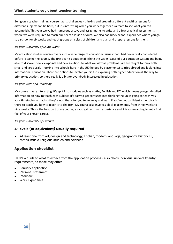Being on a teacher training course has its challenges - thinking and preparing different exciting lessons for different subjects can be hard, but it's interesting when you work together as a team to see what you can accomplish. This year we've had numerous essays and assignments to write and a few practical assessments where we were required to teach our peers a lesson of ours. We also had block school experience where you go to a school for six weeks and teach groups or a class of children and plan and prepare lessons for them.

#### *1st year, University of South Wales*

My education studies course covers such a wide range of educational issues that I had never really considered before I started the course. The first year is about establishing the wider issues of our education system and being able to discover new viewpoints and new solutions to what we view as problems. We are taught to think both small and large scale - looking into schools here in the UK (helped by placements) to trips abroad and looking into international education. There are options to involve yourself in exploring both higher education all the way to primary education, so there really is a bit for everybody interested in education.

#### *1st year, Bath Spa University*

My course is very interesting. It's split into modules such as maths, English and DT, which means you get detailed information on how to teach each subject. It's easy to get confused into thinking the uni is going to teach you your timetables in maths - they're not, that's for you to go away and learn if you're not confident - the tutor is there to teach you how to teach it to children. My course also involves block placements, from three weeks to nine weeks. This is the best part of my course, as you gain so much experience and it is so rewarding to get a first feel of your chosen career.

#### *1st year, University of Cumbria*

# A-levels (or equivalent) usually required

 At least one from art, design and technology, English, modern language, geography, history, IT, maths, music, religious studies and sciences

# Application checklist

Here's a guide to what to expect from the application process - also check individual university entry requirements, as these may differ.

- January application
- Personal statement
- Interview
- Work Experience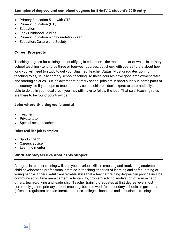- Primary Education 5-11 with QTS
- Primary Education (ITE)
- Education
- Early Childhood Studies
- Primary Education with Foundation Year
- Education, Culture and Society

#### Career Prospects

Teaching degrees for training and qualifying in education - the most popular of which is primary school teaching - tend to be three or four-year courses, but check with course tutors about how long you will need to study to get your Qualified Teacher Status. Most graduates go into teaching roles, usually primary school teaching, so these courses have good employment rates and starting salaries. But, be aware that primary school jobs are in short supply in some parts of the country, so if you hope to teach primary school children, don't expect to automatically be able to do so in your local area - you may still have to follow the jobs. That said, teaching roles are there to be found country-wide.

#### Jobs where this degree is useful

- Teacher
- Private tutor
- Special needs teacher

#### **Other real-life job examples**

- Sports coach
- Careers adviser
- Learning mentor

# What employers like about this subject

A degree in teacher training will help you develop skills in teaching and motivating students; child development; professional practice in teaching; theories of learning and safeguarding of young people. Other useful transferrable skills that a teacher training degree can provide include communication, time management, adaptability, problem-solving, motivation of yourself and others, team-working and leadership. Teacher training graduates at first degree level most commonly go into primary school teaching, but also work for secondary schools, in government (often as regulators or examiners), nurseries, colleges, hospitals and in business training.